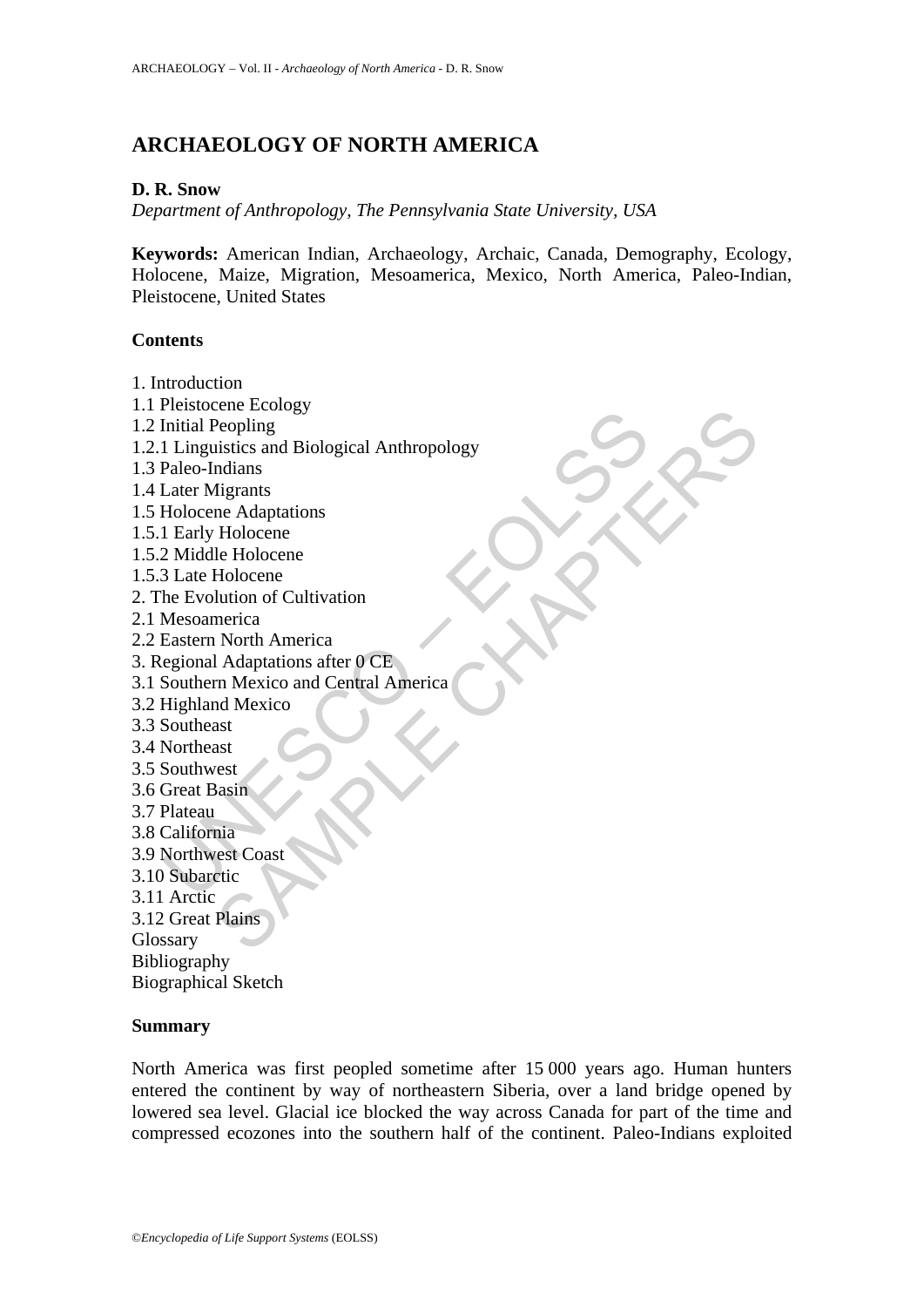# **ARCHAEOLOGY OF NORTH AMERICA**

### **D. R. Snow**

*Department of Anthropology, The Pennsylvania State University, USA* 

**Keywords:** American Indian, Archaeology, Archaic, Canada, Demography, Ecology, Holocene, Maize, Migration, Mesoamerica, Mexico, North America, Paleo-Indian, Pleistocene, United States

### **Contents**

- 1. Introduction
- ricuscuel<br>
Initial Peopling<br>
I Linguistics and Biological Anthropology<br>
Paleo-Indians<br>
Later Migrants<br>
Later Migrants<br>
1 Early Holocene<br>
1 Early Holocene<br>
2 Middle Holocene<br>
3 Late Holocene<br>
83 Late Holocene<br>
Biouthurs of Ence Exclude<br>
Peopling<br>
Peopling<br>
instites and Biological Anthropology<br>
mdians<br>
re Adaptations<br>
Ele Holocene<br>
Le Holocene<br>
Lution of Cultivation<br>
merica<br>
In Adaptations after  $0$  CE<br>
In Mexico and Central America<br>
and Mexi 1.1 Pleistocene Ecology 1.2 Initial Peopling 1.2.1 Linguistics and Biological Anthropology 1.3 Paleo-Indians 1.4 Later Migrants 1.5 Holocene Adaptations 1.5.1 Early Holocene 1.5.2 Middle Holocene 1.5.3 Late Holocene 2. The Evolution of Cultivation 2.1 Mesoamerica 2.2 Eastern North America 3. Regional Adaptations after 0 CE 3.1 Southern Mexico and Central America 3.2 Highland Mexico 3.3 Southeast 3.4 Northeast 3.5 Southwest 3.6 Great Basin 3.7 Plateau 3.8 California 3.9 Northwest Coast 3.10 Subarctic 3.11 Arctic 3.12 Great Plains Glossary Bibliography Biographical Sketch

### **Summary**

North America was first peopled sometime after 15 000 years ago. Human hunters entered the continent by way of northeastern Siberia, over a land bridge opened by lowered sea level. Glacial ice blocked the way across Canada for part of the time and compressed ecozones into the southern half of the continent. Paleo-Indians exploited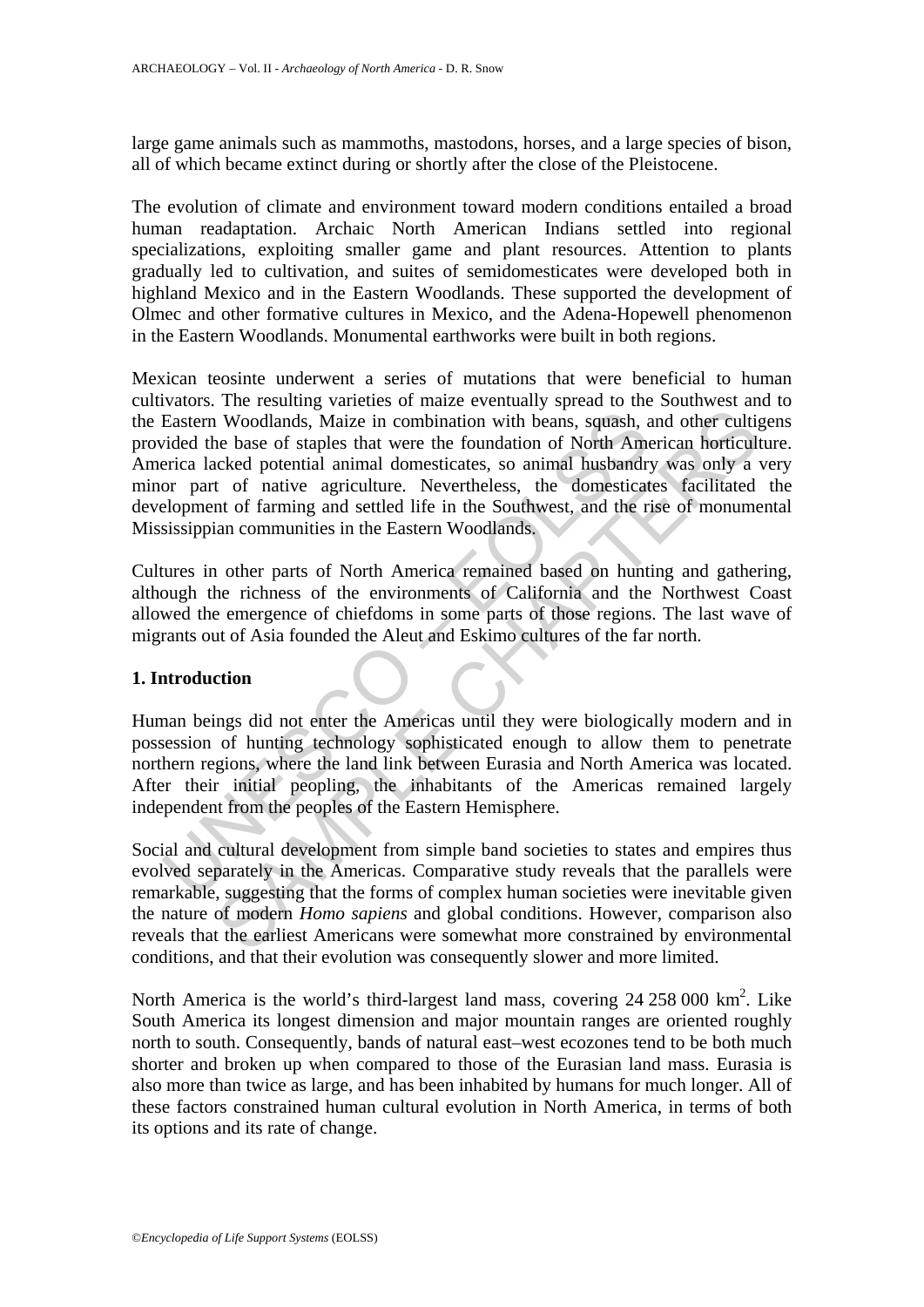large game animals such as mammoths, mastodons, horses, and a large species of bison, all of which became extinct during or shortly after the close of the Pleistocene.

The evolution of climate and environment toward modern conditions entailed a broad human readaptation. Archaic North American Indians settled into regional specializations, exploiting smaller game and plant resources. Attention to plants gradually led to cultivation, and suites of semidomesticates were developed both in highland Mexico and in the Eastern Woodlands. These supported the development of Olmec and other formative cultures in Mexico, and the Adena-Hopewell phenomenon in the Eastern Woodlands. Monumental earthworks were built in both regions.

Eastern Woodlands, Maize in combination with beans, squash, a<br>
ided the base of staples that were the foundation of North America<br>
lacked potential animal domesticates, so animal husbandry<br>
or part of native agriculture. N In Woodlands, Maize in combination with beans, squash, and other cultiple bease of staples that were the foundation of North American horticulate beaked potential animal domesticates, so animal husbandy was only a construc Mexican teosinte underwent a series of mutations that were beneficial to human cultivators. The resulting varieties of maize eventually spread to the Southwest and to the Eastern Woodlands, Maize in combination with beans, squash, and other cultigens provided the base of staples that were the foundation of North American horticulture. America lacked potential animal domesticates, so animal husbandry was only a very minor part of native agriculture. Nevertheless, the domesticates facilitated the development of farming and settled life in the Southwest, and the rise of monumental Mississippian communities in the Eastern Woodlands.

Cultures in other parts of North America remained based on hunting and gathering, although the richness of the environments of California and the Northwest Coast allowed the emergence of chiefdoms in some parts of those regions. The last wave of migrants out of Asia founded the Aleut and Eskimo cultures of the far north.

#### **1. Introduction**

Human beings did not enter the Americas until they were biologically modern and in possession of hunting technology sophisticated enough to allow them to penetrate northern regions, where the land link between Eurasia and North America was located. After their initial peopling, the inhabitants of the Americas remained largely independent from the peoples of the Eastern Hemisphere.

Social and cultural development from simple band societies to states and empires thus evolved separately in the Americas. Comparative study reveals that the parallels were remarkable, suggesting that the forms of complex human societies were inevitable given the nature of modern *Homo sapiens* and global conditions. However, comparison also reveals that the earliest Americans were somewhat more constrained by environmental conditions, and that their evolution was consequently slower and more limited.

North America is the world's third-largest land mass, covering 24 258 000 km<sup>2</sup>. Like South America its longest dimension and major mountain ranges are oriented roughly north to south. Consequently, bands of natural east–west ecozones tend to be both much shorter and broken up when compared to those of the Eurasian land mass. Eurasia is also more than twice as large, and has been inhabited by humans for much longer. All of these factors constrained human cultural evolution in North America, in terms of both its options and its rate of change.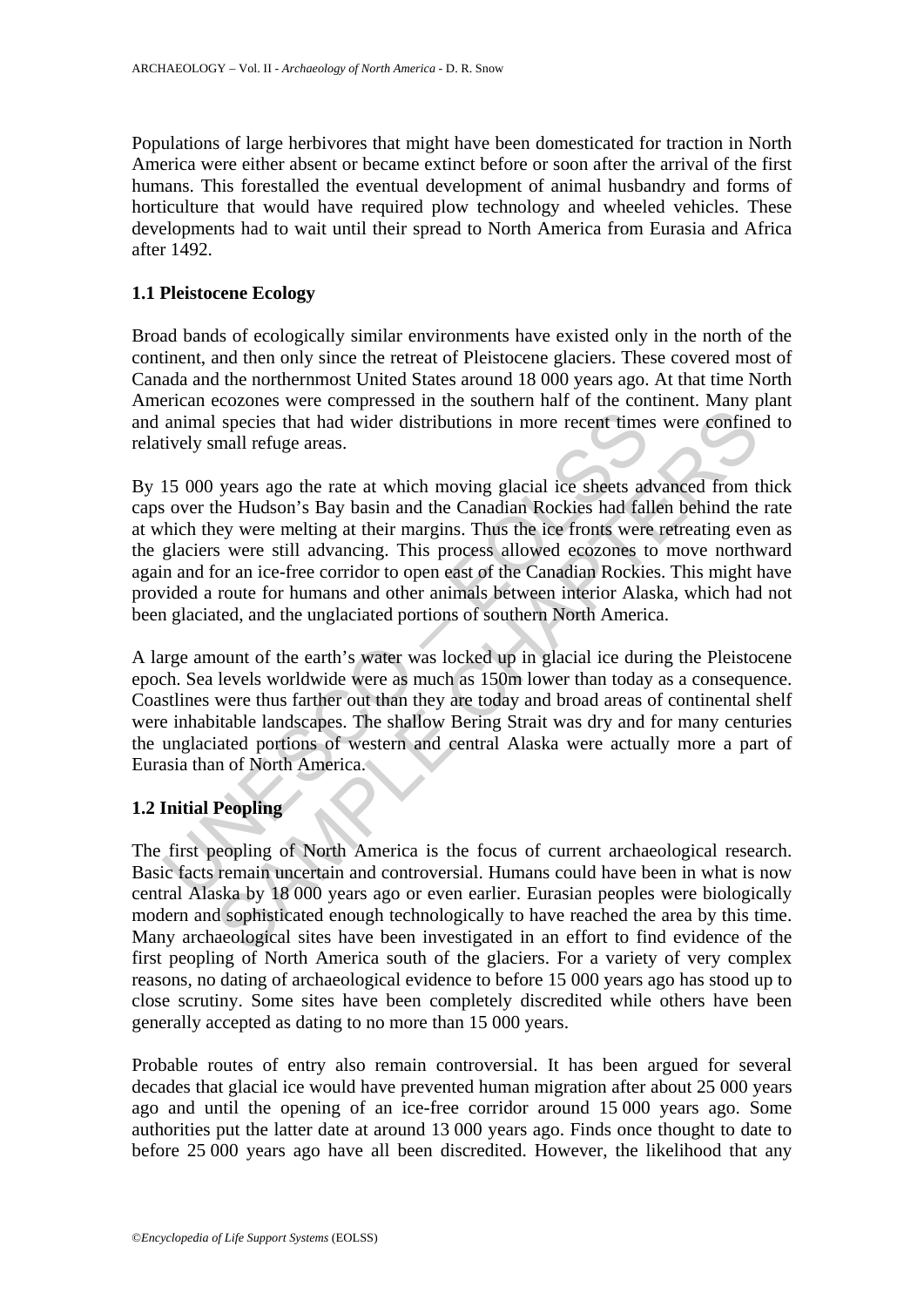Populations of large herbivores that might have been domesticated for traction in North America were either absent or became extinct before or soon after the arrival of the first humans. This forestalled the eventual development of animal husbandry and forms of horticulture that would have required plow technology and wheeled vehicles. These developments had to wait until their spread to North America from Eurasia and Africa after 1492.

# **1.1 Pleistocene Ecology**

Broad bands of ecologically similar environments have existed only in the north of the continent, and then only since the retreat of Pleistocene glaciers. These covered most of Canada and the northernmost United States around 18 000 years ago. At that time North American ecozones were compressed in the southern half of the continent. Many plant and animal species that had wider distributions in more recent times were confined to relatively small refuge areas.

animal species that had wider distributions in more recent times<br>tively small refuge areas.<br>15 000 years ago the rate at which moving glacial ice sheets ad<br>over the Hudson's Bay basin and the Canadian Rockies had fall<br>thic is species that had wider distributions in more recent times were confined all refuge areas.<br>
years ago the rate at which moving glacial ice sheets advanced from the Hudson's Bay basin and the Canadian Rockies had fallen b By 15 000 years ago the rate at which moving glacial ice sheets advanced from thick caps over the Hudson's Bay basin and the Canadian Rockies had fallen behind the rate at which they were melting at their margins. Thus the ice fronts were retreating even as the glaciers were still advancing. This process allowed ecozones to move northward again and for an ice-free corridor to open east of the Canadian Rockies. This might have provided a route for humans and other animals between interior Alaska, which had not been glaciated, and the unglaciated portions of southern North America.

A large amount of the earth's water was locked up in glacial ice during the Pleistocene epoch. Sea levels worldwide were as much as 150m lower than today as a consequence. Coastlines were thus farther out than they are today and broad areas of continental shelf were inhabitable landscapes. The shallow Bering Strait was dry and for many centuries the unglaciated portions of western and central Alaska were actually more a part of Eurasia than of North America.

# **1.2 Initial Peopling**

The first peopling of North America is the focus of current archaeological research. Basic facts remain uncertain and controversial. Humans could have been in what is now central Alaska by 18 000 years ago or even earlier. Eurasian peoples were biologically modern and sophisticated enough technologically to have reached the area by this time. Many archaeological sites have been investigated in an effort to find evidence of the first peopling of North America south of the glaciers. For a variety of very complex reasons, no dating of archaeological evidence to before 15 000 years ago has stood up to close scrutiny. Some sites have been completely discredited while others have been generally accepted as dating to no more than 15 000 years.

Probable routes of entry also remain controversial. It has been argued for several decades that glacial ice would have prevented human migration after about 25 000 years ago and until the opening of an ice-free corridor around 15 000 years ago. Some authorities put the latter date at around 13 000 years ago. Finds once thought to date to before 25 000 years ago have all been discredited. However, the likelihood that any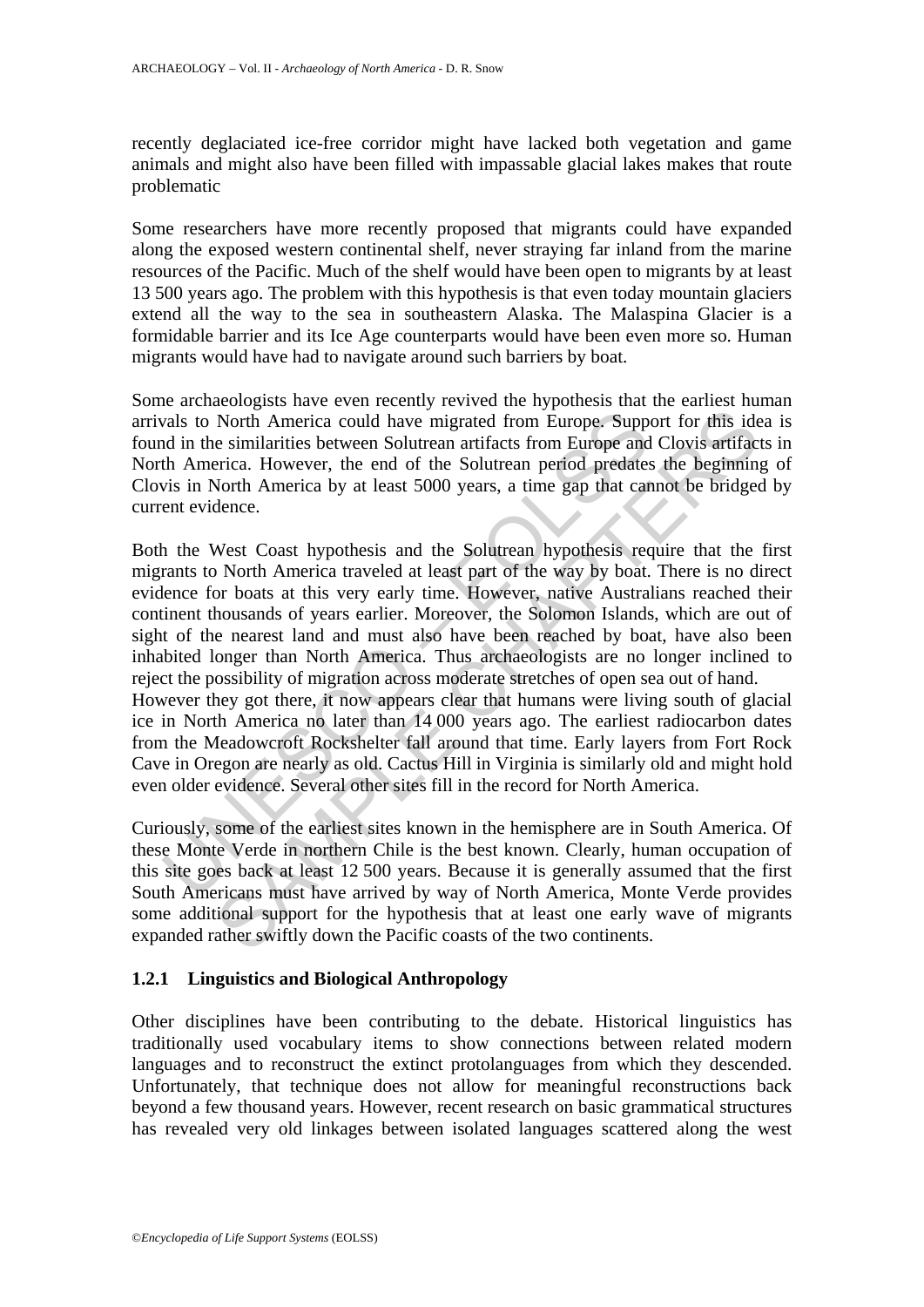recently deglaciated ice-free corridor might have lacked both vegetation and game animals and might also have been filled with impassable glacial lakes makes that route problematic

Some researchers have more recently proposed that migrants could have expanded along the exposed western continental shelf, never straying far inland from the marine resources of the Pacific. Much of the shelf would have been open to migrants by at least 13 500 years ago. The problem with this hypothesis is that even today mountain glaciers extend all the way to the sea in southeastern Alaska. The Malaspina Glacier is a formidable barrier and its Ice Age counterparts would have been even more so. Human migrants would have had to navigate around such barriers by boat.

Some archaeologists have even recently revived the hypothesis that the earliest human arrivals to North America could have migrated from Europe. Support for this idea is found in the similarities between Solutrean artifacts from Europe and Clovis artifacts in North America. However, the end of the Solutrean period predates the beginning of Clovis in North America by at least 5000 years, a time gap that cannot be bridged by current evidence.

wals to North America could have migrated from Europe. Supp<br>d in the similarities between Solutrean artifacts from Europe and<br>th America. However, the end of the Solutrean period predatee<br>vis in North America by at least 5 North America could have migrated from Europe. Support for this ide<br>e similarities between Solutrean artifacts from Europe. Support for this ide<br>e similarities between Solutrean artifacts from Europe and Clovis artifac<br>e s Both the West Coast hypothesis and the Solutrean hypothesis require that the first migrants to North America traveled at least part of the way by boat. There is no direct evidence for boats at this very early time. However, native Australians reached their continent thousands of years earlier. Moreover, the Solomon Islands, which are out of sight of the nearest land and must also have been reached by boat, have also been inhabited longer than North America. Thus archaeologists are no longer inclined to reject the possibility of migration across moderate stretches of open sea out of hand. However they got there, it now appears clear that humans were living south of glacial ice in North America no later than 14 000 years ago. The earliest radiocarbon dates from the Meadowcroft Rockshelter fall around that time. Early layers from Fort Rock Cave in Oregon are nearly as old. Cactus Hill in Virginia is similarly old and might hold even older evidence. Several other sites fill in the record for North America.

Curiously, some of the earliest sites known in the hemisphere are in South America. Of these Monte Verde in northern Chile is the best known. Clearly, human occupation of this site goes back at least 12 500 years. Because it is generally assumed that the first South Americans must have arrived by way of North America, Monte Verde provides some additional support for the hypothesis that at least one early wave of migrants expanded rather swiftly down the Pacific coasts of the two continents.

# **1.2.1 Linguistics and Biological Anthropology**

Other disciplines have been contributing to the debate. Historical linguistics has traditionally used vocabulary items to show connections between related modern languages and to reconstruct the extinct protolanguages from which they descended. Unfortunately, that technique does not allow for meaningful reconstructions back beyond a few thousand years. However, recent research on basic grammatical structures has revealed very old linkages between isolated languages scattered along the west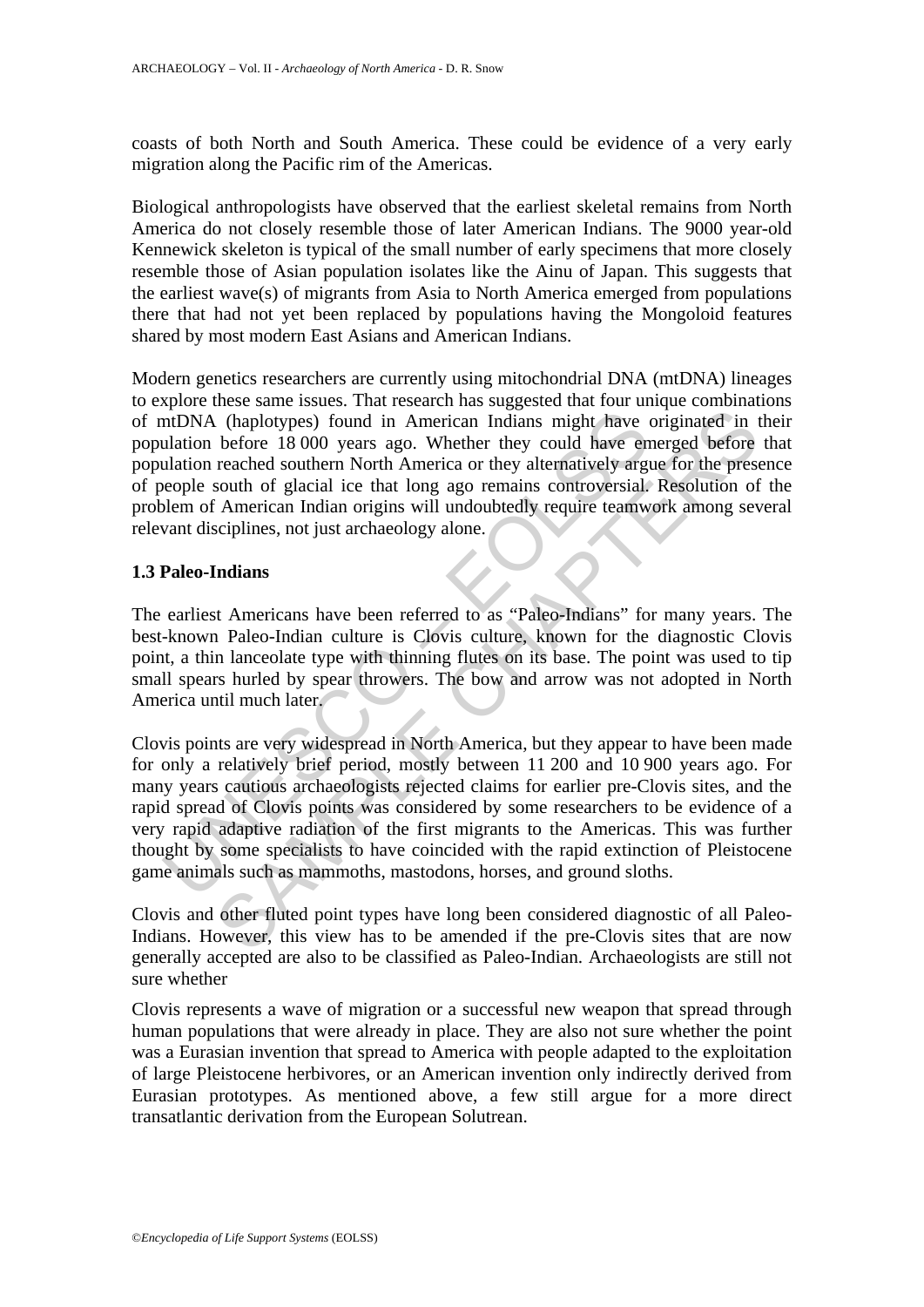coasts of both North and South America. These could be evidence of a very early migration along the Pacific rim of the Americas.

Biological anthropologists have observed that the earliest skeletal remains from North America do not closely resemble those of later American Indians. The 9000 year-old Kennewick skeleton is typical of the small number of early specimens that more closely resemble those of Asian population isolates like the Ainu of Japan. This suggests that the earliest wave(s) of migrants from Asia to North America emerged from populations there that had not yet been replaced by populations having the Mongoloid features shared by most modern East Asians and American Indians.

Modern genetics researchers are currently using mitochondrial DNA (mtDNA) lineages to explore these same issues. That research has suggested that four unique combinations of mtDNA (haplotypes) found in American Indians might have originated in their population before 18 000 years ago. Whether they could have emerged before that population reached southern North America or they alternatively argue for the presence of people south of glacial ice that long ago remains controversial. Resolution of the problem of American Indian origins will undoubtedly require teamwork among several relevant disciplines, not just archaeology alone.

### **1.3 Paleo-Indians**

The earliest Americans have been referred to as "Paleo-Indians" for many years. The best-known Paleo-Indian culture is Clovis culture, known for the diagnostic Clovis point, a thin lanceolate type with thinning flutes on its base. The point was used to tip small spears hurled by spear throwers. The bow and arrow was not adopted in North America until much later.

ntDNA (haplotypes) found in American Indians might have exactled mation before 18 000 years ago. Whether they could have en ulation reached southern North America or they alternatively argeople south of glacial ice that lo (haplotypes) found in American Indians might have originated in the originated in the originated in the originated in the originated subtem rate and the mendea of the prescheded subtem North American Indian origins will un Clovis points are very widespread in North America, but they appear to have been made for only a relatively brief period, mostly between 11 200 and 10 900 years ago. For many years cautious archaeologists rejected claims for earlier pre-Clovis sites, and the rapid spread of Clovis points was considered by some researchers to be evidence of a very rapid adaptive radiation of the first migrants to the Americas. This was further thought by some specialists to have coincided with the rapid extinction of Pleistocene game animals such as mammoths, mastodons, horses, and ground sloths.

Clovis and other fluted point types have long been considered diagnostic of all Paleo-Indians. However, this view has to be amended if the pre-Clovis sites that are now generally accepted are also to be classified as Paleo-Indian. Archaeologists are still not sure whether

Clovis represents a wave of migration or a successful new weapon that spread through human populations that were already in place. They are also not sure whether the point was a Eurasian invention that spread to America with people adapted to the exploitation of large Pleistocene herbivores, or an American invention only indirectly derived from Eurasian prototypes. As mentioned above, a few still argue for a more direct transatlantic derivation from the European Solutrean.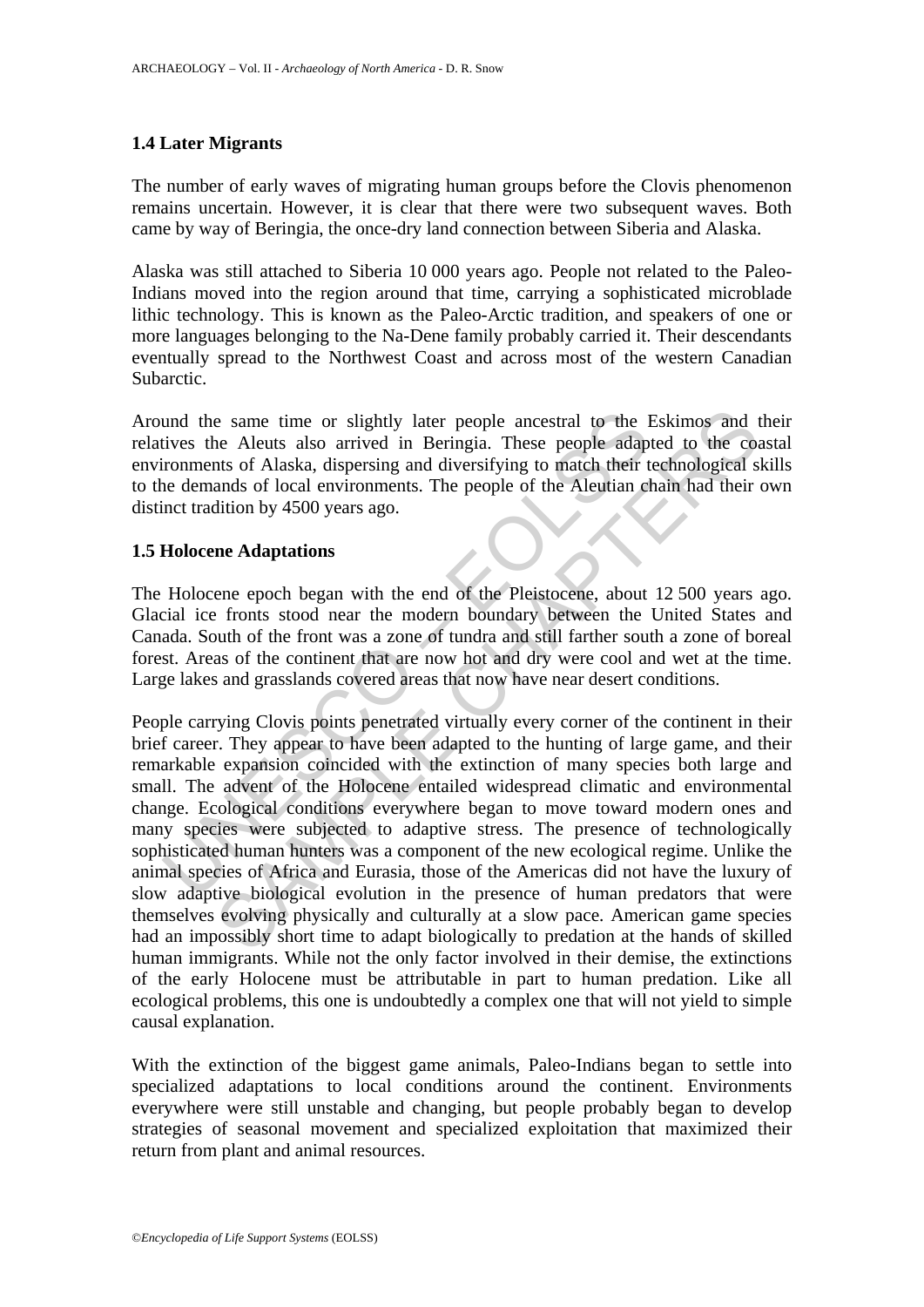# **1.4 Later Migrants**

The number of early waves of migrating human groups before the Clovis phenomenon remains uncertain. However, it is clear that there were two subsequent waves. Both came by way of Beringia, the once-dry land connection between Siberia and Alaska.

Alaska was still attached to Siberia 10 000 years ago. People not related to the Paleo-Indians moved into the region around that time, carrying a sophisticated microblade lithic technology. This is known as the Paleo-Arctic tradition, and speakers of one or more languages belonging to the Na-Dene family probably carried it. Their descendants eventually spread to the Northwest Coast and across most of the western Canadian Subarctic.

Around the same time or slightly later people ancestral to the Eskimos and their relatives the Aleuts also arrived in Beringia. These people adapted to the coastal environments of Alaska, dispersing and diversifying to match their technological skills to the demands of local environments. The people of the Aleutian chain had their own distinct tradition by 4500 years ago.

### **1.5 Holocene Adaptations**

The Holocene epoch began with the end of the Pleistocene, about 12 500 years ago. Glacial ice fronts stood near the modern boundary between the United States and Canada. South of the front was a zone of tundra and still farther south a zone of boreal forest. Areas of the continent that are now hot and dry were cool and wet at the time. Large lakes and grasslands covered areas that now have near desert conditions.

und the same time or slightly later people ancestral to the 1<br>tives the Aleuts also arrived in Beringia. These people adap<br>tronments of Alaska, dispersing and diversifying to match their t<br>ne demands of local environments. e same time or slightly later people ancestral to the Eskimos and the Aleuts also arrived in Beringia. These people adapted to the cost of Alaska, dispersing and diversifying to match their technological s ands of local en People carrying Clovis points penetrated virtually every corner of the continent in their brief career. They appear to have been adapted to the hunting of large game, and their remarkable expansion coincided with the extinction of many species both large and small. The advent of the Holocene entailed widespread climatic and environmental change. Ecological conditions everywhere began to move toward modern ones and many species were subjected to adaptive stress. The presence of technologically sophisticated human hunters was a component of the new ecological regime. Unlike the animal species of Africa and Eurasia, those of the Americas did not have the luxury of slow adaptive biological evolution in the presence of human predators that were themselves evolving physically and culturally at a slow pace. American game species had an impossibly short time to adapt biologically to predation at the hands of skilled human immigrants. While not the only factor involved in their demise, the extinctions of the early Holocene must be attributable in part to human predation. Like all ecological problems, this one is undoubtedly a complex one that will not yield to simple causal explanation.

With the extinction of the biggest game animals, Paleo-Indians began to settle into specialized adaptations to local conditions around the continent. Environments everywhere were still unstable and changing, but people probably began to develop strategies of seasonal movement and specialized exploitation that maximized their return from plant and animal resources.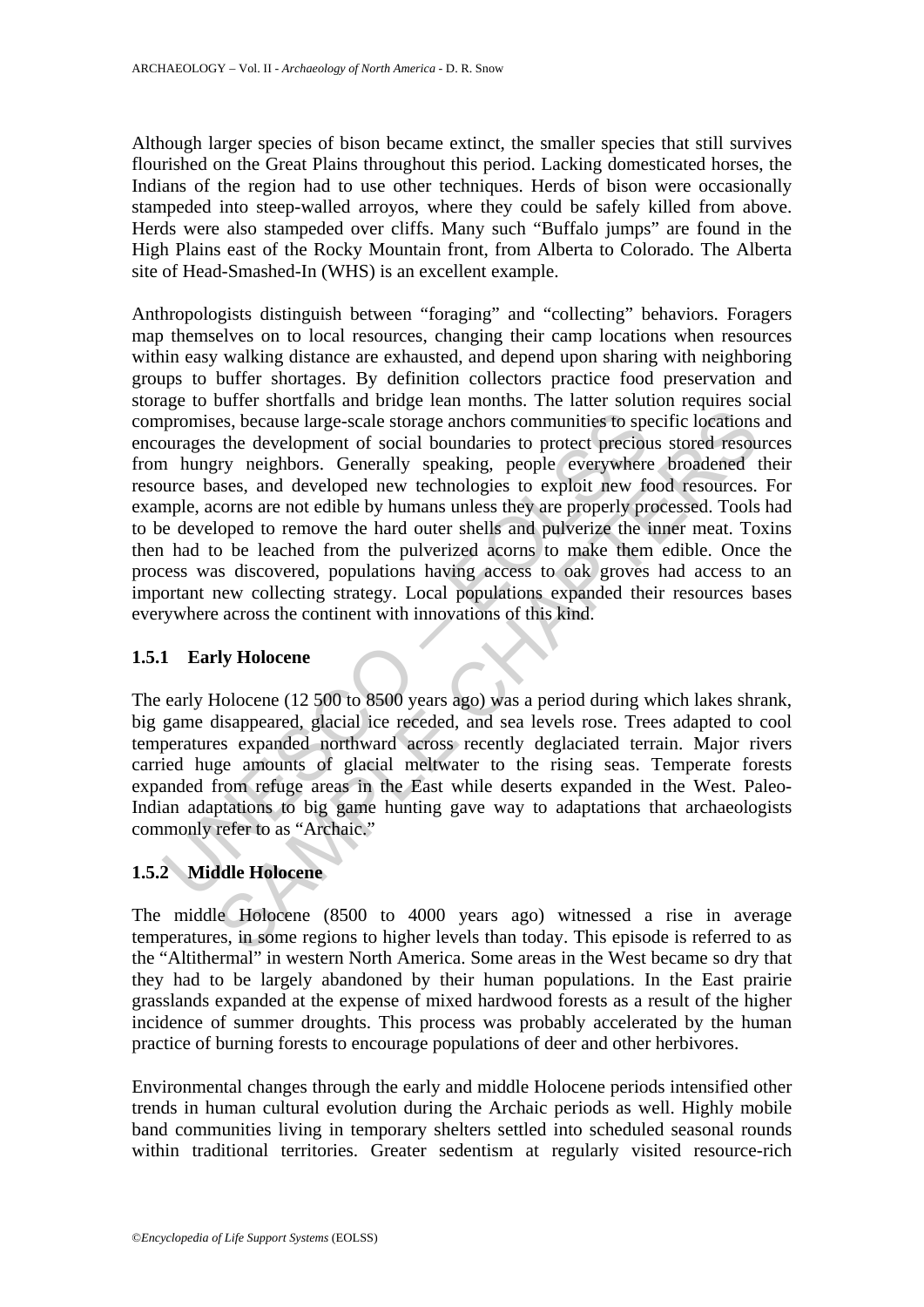Although larger species of bison became extinct, the smaller species that still survives flourished on the Great Plains throughout this period. Lacking domesticated horses, the Indians of the region had to use other techniques. Herds of bison were occasionally stampeded into steep-walled arroyos, where they could be safely killed from above. Herds were also stampeded over cliffs. Many such "Buffalo jumps" are found in the High Plains east of the Rocky Mountain front, from Alberta to Colorado. The Alberta site of Head-Smashed-In (WHS) is an excellent example.

promises, because large-scale storage anchors communities to spourages the development of social boundaries to protect precious a hungry neighbors. Generally speaking, people everywhere urce bases, and developed new techno ses, because large-scale storage anchors communities to specific locations<br>the development of social boundaries to protect precious stored resources<br>tyry neighbors. Generally speaking, people everywhere broadened<br>asses, an Anthropologists distinguish between "foraging" and "collecting" behaviors. Foragers map themselves on to local resources, changing their camp locations when resources within easy walking distance are exhausted, and depend upon sharing with neighboring groups to buffer shortages. By definition collectors practice food preservation and storage to buffer shortfalls and bridge lean months. The latter solution requires social compromises, because large-scale storage anchors communities to specific locations and encourages the development of social boundaries to protect precious stored resources from hungry neighbors. Generally speaking, people everywhere broadened their resource bases, and developed new technologies to exploit new food resources. For example, acorns are not edible by humans unless they are properly processed. Tools had to be developed to remove the hard outer shells and pulverize the inner meat. Toxins then had to be leached from the pulverized acorns to make them edible. Once the process was discovered, populations having access to oak groves had access to an important new collecting strategy. Local populations expanded their resources bases everywhere across the continent with innovations of this kind.

# **1.5.1 Early Holocene**

The early Holocene (12 500 to 8500 years ago) was a period during which lakes shrank, big game disappeared, glacial ice receded, and sea levels rose. Trees adapted to cool temperatures expanded northward across recently deglaciated terrain. Major rivers carried huge amounts of glacial meltwater to the rising seas. Temperate forests expanded from refuge areas in the East while deserts expanded in the West. Paleo-Indian adaptations to big game hunting gave way to adaptations that archaeologists commonly refer to as "Archaic."

# **1.5.2 Middle Holocene**

The middle Holocene (8500 to 4000 years ago) witnessed a rise in average temperatures, in some regions to higher levels than today. This episode is referred to as the "Altithermal" in western North America. Some areas in the West became so dry that they had to be largely abandoned by their human populations. In the East prairie grasslands expanded at the expense of mixed hardwood forests as a result of the higher incidence of summer droughts. This process was probably accelerated by the human practice of burning forests to encourage populations of deer and other herbivores.

Environmental changes through the early and middle Holocene periods intensified other trends in human cultural evolution during the Archaic periods as well. Highly mobile band communities living in temporary shelters settled into scheduled seasonal rounds within traditional territories. Greater sedentism at regularly visited resource-rich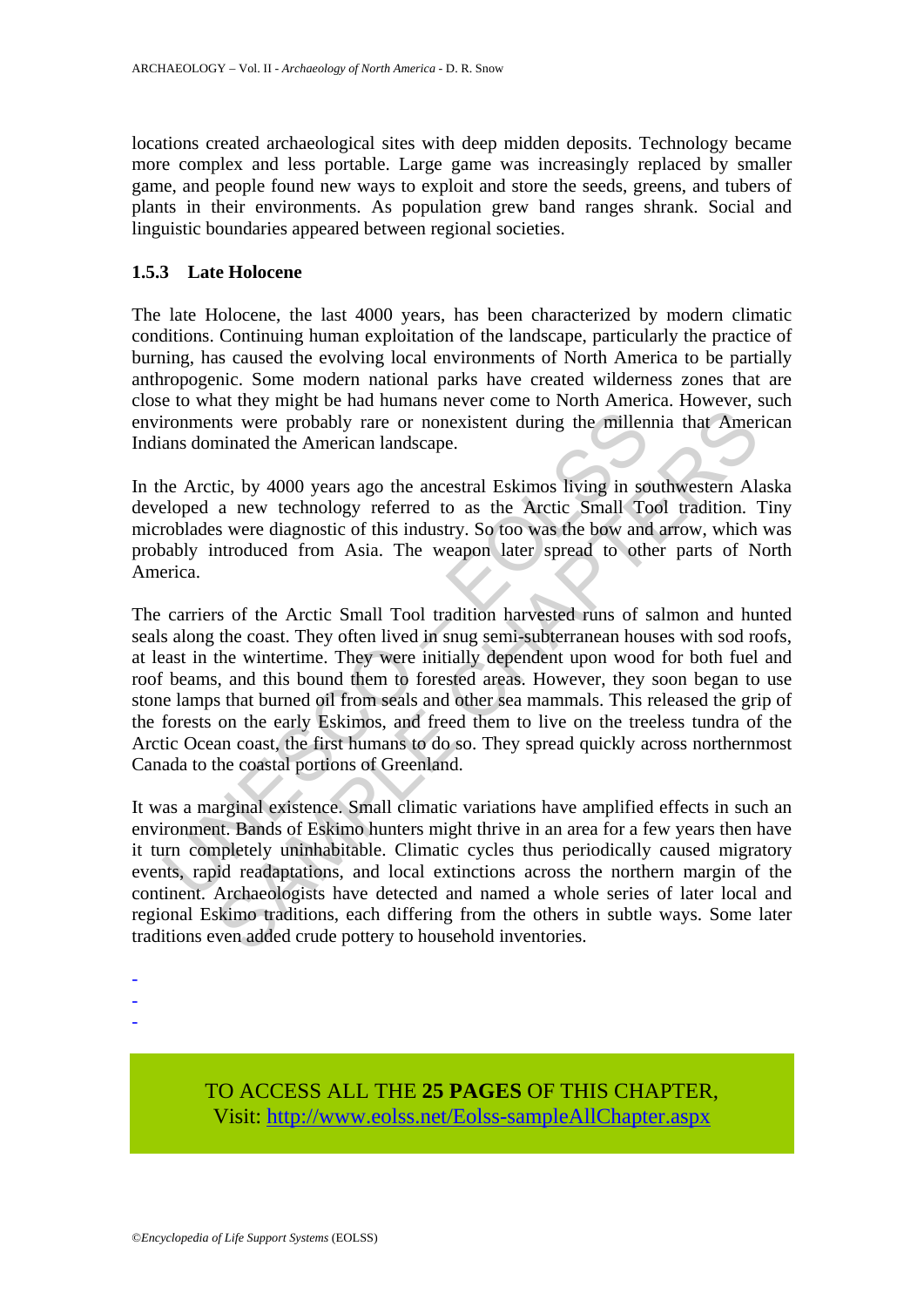locations created archaeological sites with deep midden deposits. Technology became more complex and less portable. Large game was increasingly replaced by smaller game, and people found new ways to exploit and store the seeds, greens, and tubers of plants in their environments. As population grew band ranges shrank. Social and linguistic boundaries appeared between regional societies.

# **1.5.3 Late Holocene**

The late Holocene, the last 4000 years, has been characterized by modern climatic conditions. Continuing human exploitation of the landscape, particularly the practice of burning, has caused the evolving local environments of North America to be partially anthropogenic. Some modern national parks have created wilderness zones that are close to what they might be had humans never come to North America. However, such environments were probably rare or nonexistent during the millennia that American Indians dominated the American landscape.

In the Arctic, by 4000 years ago the ancestral Eskimos living in southwestern Alaska developed a new technology referred to as the Arctic Small Tool tradition. Tiny microblades were diagnostic of this industry. So too was the bow and arrow, which was probably introduced from Asia. The weapon later spread to other parts of North America.

ironments were probably rare or nonexistent during the millen<br>ans dominated the American landscape.<br>He Arctic, by 4000 years ago the ancestral Eskimos living in so<br>leoloped a new technology referred to as the Arctic Small and the service of the metalline of the metalline and the service in the service of the service probably rare or nonexistent during the millennia that Amere innated the American landscape.<br>
i.e., by 4000 years ago the ance The carriers of the Arctic Small Tool tradition harvested runs of salmon and hunted seals along the coast. They often lived in snug semi-subterranean houses with sod roofs, at least in the wintertime. They were initially dependent upon wood for both fuel and roof beams, and this bound them to forested areas. However, they soon began to use stone lamps that burned oil from seals and other sea mammals. This released the grip of the forests on the early Eskimos, and freed them to live on the treeless tundra of the Arctic Ocean coast, the first humans to do so. They spread quickly across northernmost Canada to the coastal portions of Greenland.

It was a marginal existence. Small climatic variations have amplified effects in such an environment. Bands of Eskimo hunters might thrive in an area for a few years then have it turn completely uninhabitable. Climatic cycles thus periodically caused migratory events, rapid readaptations, and local extinctions across the northern margin of the continent. Archaeologists have detected and named a whole series of later local and regional Eskimo traditions, each differing from the others in subtle ways. Some later traditions even added crude pottery to household inventories.

- -
- -
- -

TO ACCESS ALL THE **25 PAGES** OF THIS CHAPTER, Visit[: http://www.eolss.net/Eolss-sampleAllChapter.aspx](https://www.eolss.net/ebooklib/sc_cart.aspx?File=E6-21-03-04)